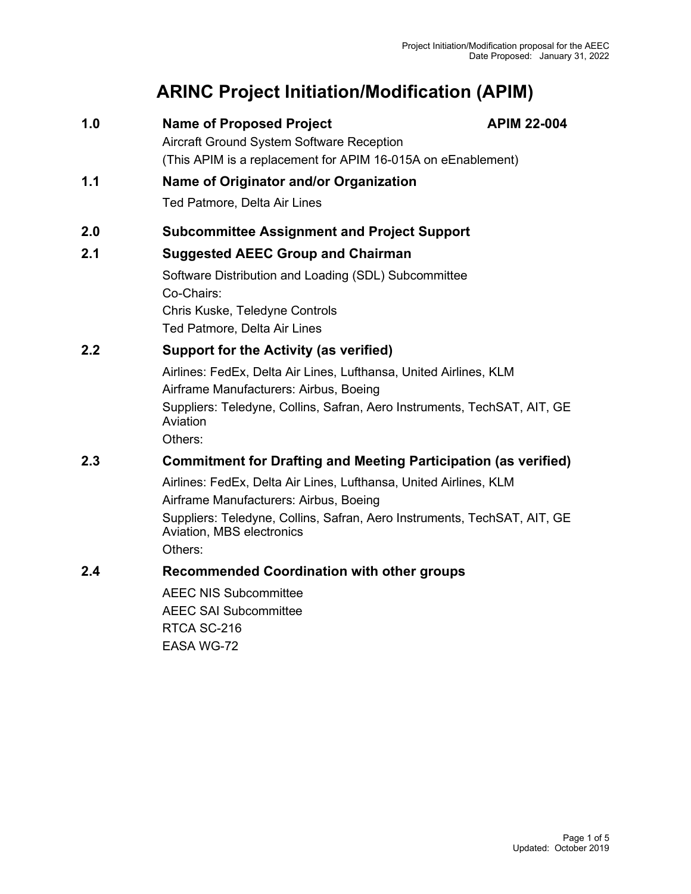# **ARINC Project Initiation/Modification (APIM)**

| <b>Name of Proposed Project</b><br>1.0 |  |
|----------------------------------------|--|
|----------------------------------------|--|

**1.0 Name of Proposed Project APIM 22-004**

Aircraft Ground System Software Reception (This APIM is a replacement for APIM 16-015A on eEnablement)

# **1.1 Name of Originator and/or Organization**

Ted Patmore, Delta Air Lines

# **2.0 Subcommittee Assignment and Project Support**

# **2.1 Suggested AEEC Group and Chairman**

Software Distribution and Loading (SDL) Subcommittee Co-Chairs: Chris Kuske, Teledyne Controls Ted Patmore, Delta Air Lines

## **2.2 Support for the Activity (as verified)**

Airlines: FedEx, Delta Air Lines, Lufthansa, United Airlines, KLM Airframe Manufacturers: Airbus, Boeing Suppliers: Teledyne, Collins, Safran, Aero Instruments, TechSAT, AIT, GE Aviation Others:

# **2.3 Commitment for Drafting and Meeting Participation (as verified)**

Airlines: FedEx, Delta Air Lines, Lufthansa, United Airlines, KLM Airframe Manufacturers: Airbus, Boeing Suppliers: Teledyne, Collins, Safran, Aero Instruments, TechSAT, AIT, GE Aviation, MBS electronics Others:

## **2.4 Recommended Coordination with other groups**

AEEC NIS Subcommittee AEEC SAI Subcommittee RTCA SC-216 EASA WG-72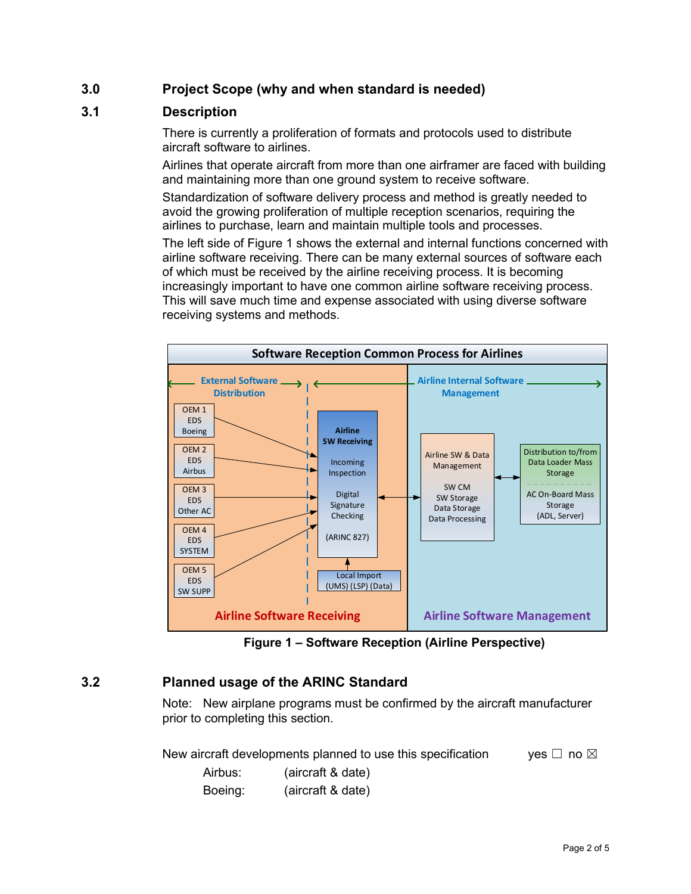# **3.0 Project Scope (why and when standard is needed)**

## **3.1 Description**

There is currently a proliferation of formats and protocols used to distribute aircraft software to airlines.

Airlines that operate aircraft from more than one airframer are faced with building and maintaining more than one ground system to receive software.

Standardization of software delivery process and method is greatly needed to avoid the growing proliferation of multiple reception scenarios, requiring the airlines to purchase, learn and maintain multiple tools and processes.

The left side of Figure 1 shows the external and internal functions concerned with airline software receiving. There can be many external sources of software each of which must be received by the airline receiving process. It is becoming increasingly important to have one common airline software receiving process. This will save much time and expense associated with using diverse software receiving systems and methods.



**Figure 1 – Software Reception (Airline Perspective)**

# **3.2 Planned usage of the ARINC Standard**

Note: New airplane programs must be confirmed by the aircraft manufacturer prior to completing this section.

New aircraft developments planned to use this specification yes  $\Box$  no  $\boxtimes$ 

Airbus: (aircraft & date) Boeing: (aircraft & date)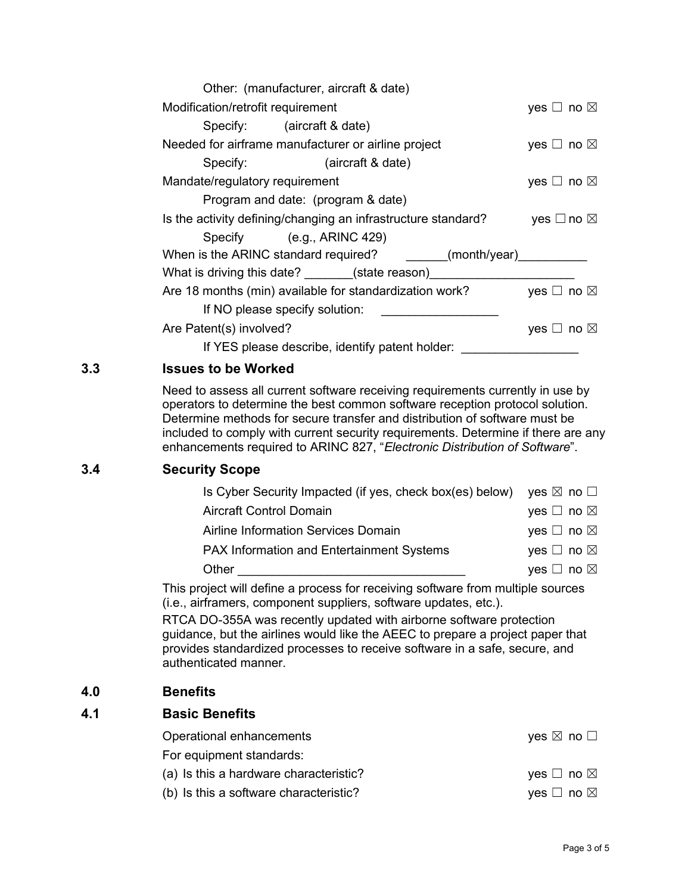| Other: (manufacturer, aircraft & date)                        |                           |
|---------------------------------------------------------------|---------------------------|
| Modification/retrofit requirement                             | yes $\Box$ no $\boxtimes$ |
| Specify: (aircraft & date)                                    |                           |
| Needed for airframe manufacturer or airline project           | yes $\Box$ no $\boxtimes$ |
| Specify: (aircraft & date)                                    |                           |
| Mandate/regulatory requirement                                | yes $\Box$ no $\boxtimes$ |
| Program and date: (program & date)                            |                           |
| Is the activity defining/changing an infrastructure standard? | yes $\Box$ no $\boxtimes$ |
| Specify (e.g., ARINC 429)                                     |                           |
| When is the ARINC standard required?<br>(month/year)          |                           |
| What is driving this date? _______(state reason)________      |                           |
| Are 18 months (min) available for standardization work?       | yes $\Box$ no $\boxtimes$ |
| If NO please specify solution:                                |                           |
| Are Patent(s) involved?                                       | yes $\Box$ no $\boxtimes$ |
| If YES please describe, identify patent holder:               |                           |

## **3.3 Issues to be Worked**

Need to assess all current software receiving requirements currently in use by operators to determine the best common software reception protocol solution. Determine methods for secure transfer and distribution of software must be included to comply with current security requirements. Determine if there are any enhancements required to ARINC 827, "*Electronic Distribution of Software*".

## **3.4 Security Scope**

| Is Cyber Security Impacted (if yes, check box(es) below) yes $\boxtimes$ no $\square$ |
|---------------------------------------------------------------------------------------|
| yes $\Box$ no $\boxtimes$                                                             |
| yes $\Box$ no $\boxtimes$                                                             |
| yes $\Box$ no $\boxtimes$                                                             |
| yes $\Box$ no $\boxtimes$                                                             |
|                                                                                       |

This project will define a process for receiving software from multiple sources (i.e., airframers, component suppliers, software updates, etc.).

RTCA DO-355A was recently updated with airborne software protection guidance, but the airlines would like the AEEC to prepare a project paper that provides standardized processes to receive software in a safe, secure, and authenticated manner.

## **4.0 Benefits**

#### **4.1 Basic Benefits**

| Operational enhancements               | yes $\boxtimes$ no $\Box$ |
|----------------------------------------|---------------------------|
| For equipment standards:               |                           |
| (a) Is this a hardware characteristic? | yes $\Box$ no $\boxtimes$ |
| (b) Is this a software characteristic? | yes $\Box$ no $\boxtimes$ |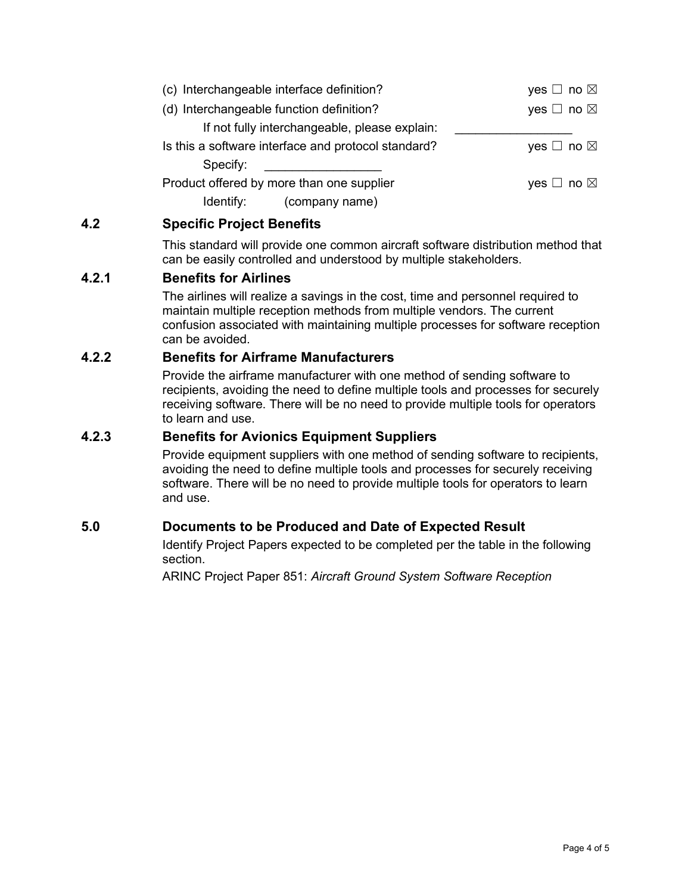| (c) Interchangeable interface definition?           | yes $\Box$ no $\boxtimes$ |
|-----------------------------------------------------|---------------------------|
| (d) Interchangeable function definition?            | yes $\Box$ no $\boxtimes$ |
| If not fully interchangeable, please explain:       |                           |
| Is this a software interface and protocol standard? | yes $\Box$ no $\boxtimes$ |
| Specify:                                            |                           |
| Product offered by more than one supplier           | yes $\Box$ no $\boxtimes$ |
| (company name)<br>Identify:                         |                           |

## **4.2 Specific Project Benefits**

This standard will provide one common aircraft software distribution method that can be easily controlled and understood by multiple stakeholders.

## **4.2.1 Benefits for Airlines**

The airlines will realize a savings in the cost, time and personnel required to maintain multiple reception methods from multiple vendors. The current confusion associated with maintaining multiple processes for software reception can be avoided.

#### **4.2.2 Benefits for Airframe Manufacturers**

Provide the airframe manufacturer with one method of sending software to recipients, avoiding the need to define multiple tools and processes for securely receiving software. There will be no need to provide multiple tools for operators to learn and use.

#### **4.2.3 Benefits for Avionics Equipment Suppliers**

Provide equipment suppliers with one method of sending software to recipients, avoiding the need to define multiple tools and processes for securely receiving software. There will be no need to provide multiple tools for operators to learn and use.

## **5.0 Documents to be Produced and Date of Expected Result**

Identify Project Papers expected to be completed per the table in the following section.

ARINC Project Paper 851: *Aircraft Ground System Software Reception*